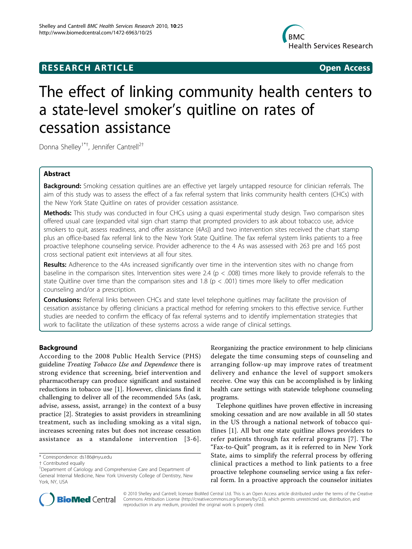# **RESEARCH ARTICLE Example 2018 CONSIDERING ACCESS**



# The effect of linking community health centers to a state-level smoker's quitline on rates of cessation assistance

Donna Shelley<sup>1\*†</sup>, Jennifer Cantrell<sup>2†</sup>

## Abstract

Background: Smoking cessation quitlines are an effective yet largely untapped resource for clinician referrals. The aim of this study was to assess the effect of a fax referral system that links community health centers (CHCs) with the New York State Quitline on rates of provider cessation assistance.

Methods: This study was conducted in four CHCs using a quasi experimental study design. Two comparison sites offered usual care (expanded vital sign chart stamp that prompted providers to ask about tobacco use, advice smokers to quit, assess readiness, and offer assistance (4As)) and two intervention sites received the chart stamp plus an office-based fax referral link to the New York State Quitline. The fax referral system links patients to a free proactive telephone counseling service. Provider adherence to the 4 As was assessed with 263 pre and 165 post cross sectional patient exit interviews at all four sites.

Results: Adherence to the 4As increased significantly over time in the intervention sites with no change from baseline in the comparison sites. Intervention sites were 2.4 ( $p < .008$ ) times more likely to provide referrals to the state Quitline over time than the comparison sites and 1.8 ( $p < .001$ ) times more likely to offer medication counseling and/or a prescription.

**Conclusions:** Referral links between CHCs and state level telephone quitlines may facilitate the provision of cessation assistance by offering clinicians a practical method for referring smokers to this effective service. Further studies are needed to confirm the efficacy of fax referral systems and to identify implementation strategies that work to facilitate the utilization of these systems across a wide range of clinical settings.

## **Background**

According to the 2008 Public Health Service (PHS) guideline Treating Tobacco Use and Dependence there is strong evidence that screening, brief intervention and pharmacotherapy can produce significant and sustained reductions in tobacco use [[1\]](#page-5-0). However, clinicians find it challenging to deliver all of the recommended 5As (ask, advise, assess, assist, arrange) in the context of a busy practice [\[2](#page-5-0)]. Strategies to assist providers in streamlining treatment, such as including smoking as a vital sign, increases screening rates but does not increase cessation assistance as a standalone intervention [[3](#page-5-0)-[6\]](#page-5-0).

Reorganizing the practice environment to help clinicians delegate the time consuming steps of counseling and arranging follow-up may improve rates of treatment delivery and enhance the level of support smokers receive. One way this can be accomplished is by linking health care settings with statewide telephone counseling programs.

Telephone quitlines have proven effective in increasing smoking cessation and are now available in all 50 states in the US through a national network of tobacco quitlines [[1](#page-5-0)]. All but one state quitline allows providers to refer patients through fax referral programs [[7](#page-5-0)]. The "Fax-to-Quit" program, as it is referred to in New York State, aims to simplify the referral process by offering clinical practices a method to link patients to a free proactive telephone counseling service using a fax referral form. In a proactive approach the counselor initiates



© 2010 Shelley and Cantrell; licensee BioMed Central Ltd. This is an Open Access article distributed under the terms of the Creative Commons Attribution License [\(http://creativecommons.org/licenses/by/2.0](http://creativecommons.org/licenses/by/2.0)), which permits unrestricted use, distribution, and reproduction in any medium, provided the original work is properly cited.

<sup>\*</sup> Correspondence: [ds186@nyu.edu](mailto:ds186@nyu.edu)

<sup>†</sup> Contributed equally <sup>1</sup>

<sup>&</sup>lt;sup>1</sup>Department of Cariology and Comprehensive Care and Department of General Internal Medicine, New York University College of Dentistry, New York, NY, USA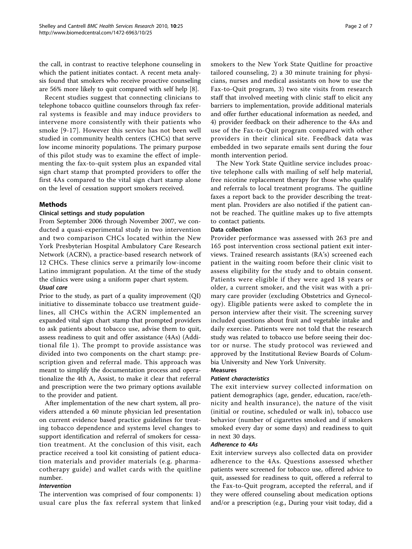the call, in contrast to reactive telephone counseling in which the patient initiates contact. A recent meta analysis found that smokers who receive proactive counseling are 56% more likely to quit compared with self help [\[8](#page-5-0)].

Recent studies suggest that connecting clinicians to telephone tobacco quitline counselors through fax referral systems is feasible and may induce providers to intervene more consistently with their patients who smoke [[9](#page-5-0)-[17](#page-5-0)]. However this service has not been well studied in community health centers (CHCs) that serve low income minority populations. The primary purpose of this pilot study was to examine the effect of implementing the fax-to-quit system plus an expanded vital sign chart stamp that prompted providers to offer the first 4As compared to the vital sign chart stamp alone on the level of cessation support smokers received.

## Methods

## Clinical settings and study population

From September 2006 through November 2007, we conducted a quasi-experimental study in two intervention and two comparison CHCs located within the New York Presbyterian Hospital Ambulatory Care Research Network (ACRN), a practice-based research network of 12 CHCs. These clinics serve a primarily low-income Latino immigrant population. At the time of the study the clinics were using a uniform paper chart system. Usual care

Prior to the study, as part of a quality improvement (QI) initiative to disseminate tobacco use treatment guidelines, all CHCs within the ACRN implemented an expanded vital sign chart stamp that prompted providers to ask patients about tobacco use, advise them to quit, assess readiness to quit and offer assistance (4As) (Additional file [1](#page-5-0)). The prompt to provide assistance was divided into two components on the chart stamp: prescription given and referral made. This approach was meant to simplify the documentation process and operationalize the 4th A, Assist, to make it clear that referral and prescription were the two primary options available to the provider and patient.

After implementation of the new chart system, all providers attended a 60 minute physician led presentation on current evidence based practice guidelines for treating tobacco dependence and systems level changes to support identification and referral of smokers for cessation treatment. At the conclusion of this visit, each practice received a tool kit consisting of patient education materials and provider materials (e.g. pharmacotherapy guide) and wallet cards with the quitline number.

#### Intervention

The intervention was comprised of four components: 1) usual care plus the fax referral system that linked smokers to the New York State Quitline for proactive tailored counseling, 2) a 30 minute training for physicians, nurses and medical assistants on how to use the Fax-to-Quit program, 3) two site visits from research staff that involved meeting with clinic staff to elicit any barriers to implementation, provide additional materials and offer further educational information as needed, and 4) provider feedback on their adherence to the 4As and use of the Fax-to-Quit program compared with other providers in their clinical site. Feedback data was embedded in two separate emails sent during the four month intervention period.

The New York State Quitline service includes proactive telephone calls with mailing of self help material, free nicotine replacement therapy for those who qualify and referrals to local treatment programs. The quitline faxes a report back to the provider describing the treatment plan. Providers are also notified if the patient cannot be reached. The quitline makes up to five attempts to contact patients.

## Data collection

Provider performance was assessed with 263 pre and 165 post intervention cross sectional patient exit interviews. Trained research assistants (RA's) screened each patient in the waiting room before their clinic visit to assess eligibility for the study and to obtain consent. Patients were eligible if they were aged 18 years or older, a current smoker, and the visit was with a primary care provider (excluding Obstetrics and Gynecology). Eligible patients were asked to complete the in person interview after their visit. The screening survey included questions about fruit and vegetable intake and daily exercise. Patients were not told that the research study was related to tobacco use before seeing their doctor or nurse. The study protocol was reviewed and approved by the Institutional Review Boards of Columbia University and New York University.

# Measures

#### Patient characteristics

The exit interview survey collected information on patient demographics (age, gender, education, race/ethnicity and health insurance), the nature of the visit (initial or routine, scheduled or walk in), tobacco use behavior (number of cigarettes smoked and if smokers smoked every day or some days) and readiness to quit in next 30 days.

#### Adherence to 4As

Exit interview surveys also collected data on provider adherence to the 4As. Questions assessed whether patients were screened for tobacco use, offered advice to quit, assessed for readiness to quit, offered a referral to the Fax-to-Quit program, accepted the referral, and if they were offered counseling about medication options and/or a prescription (e.g., During your visit today, did a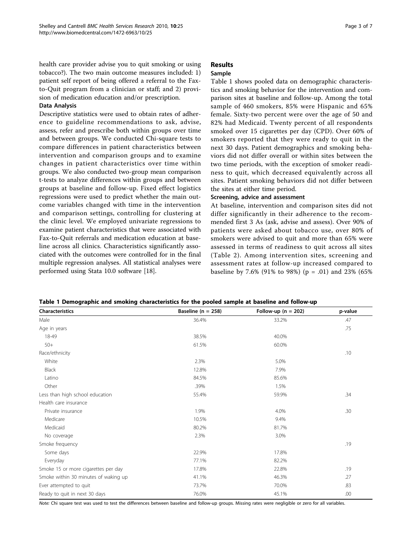health care provider advise you to quit smoking or using tobacco?). The two main outcome measures included: 1) patient self report of being offered a referral to the Faxto-Quit program from a clinician or staff; and 2) provision of medication education and/or prescription.

#### Data Analysis

Descriptive statistics were used to obtain rates of adherence to guideline recommendations to ask, advise, assess, refer and prescribe both within groups over time and between groups. We conducted Chi-square tests to compare differences in patient characteristics between intervention and comparison groups and to examine changes in patient characteristics over time within groups. We also conducted two-group mean comparison t-tests to analyze differences within groups and between groups at baseline and follow-up. Fixed effect logistics regressions were used to predict whether the main outcome variables changed with time in the intervention and comparison settings, controlling for clustering at the clinic level. We employed univariate regressions to examine patient characteristics that were associated with Fax-to-Quit referrals and medication education at baseline across all clinics. Characteristics significantly associated with the outcomes were controlled for in the final multiple regression analyses. All statistical analyses were performed using Stata 10.0 software [\[18\]](#page-5-0).

# Results

## Sample

Table 1 shows pooled data on demographic characteristics and smoking behavior for the intervention and comparison sites at baseline and follow-up. Among the total sample of 460 smokers, 85% were Hispanic and 65% female. Sixty-two percent were over the age of 50 and 82% had Medicaid. Twenty percent of all respondents smoked over 15 cigarettes per day (CPD). Over 60% of smokers reported that they were ready to quit in the next 30 days. Patient demographics and smoking behaviors did not differ overall or within sites between the two time periods, with the exception of smoker readiness to quit, which decreased equivalently across all sites. Patient smoking behaviors did not differ between the sites at either time period.

## Screening, advice and assessment

At baseline, intervention and comparison sites did not differ significantly in their adherence to the recommended first 3 As (ask, advise and assess). Over 90% of patients were asked about tobacco use, over 80% of smokers were advised to quit and more than 65% were assessed in terms of readiness to quit across all sites (Table [2](#page-3-0)). Among intervention sites, screening and assessment rates at follow-up increased compared to baseline by 7.6% (91% to 98%) ( $p = .01$ ) and 23% (65%)

| Baseline ( $n = 258$ )<br>36.4% | Follow-up ( $n = 202$ ) | p-value |
|---------------------------------|-------------------------|---------|
|                                 |                         |         |
|                                 | 33.2%                   | .47     |
|                                 |                         | .75     |
| 38.5%                           | 40.0%                   |         |
| 61.5%                           | 60.0%                   |         |
|                                 |                         | .10     |
| 2.3%                            | 5.0%                    |         |
| 12.8%                           | 7.9%                    |         |
| 84.5%                           | 85.6%                   |         |
| .39%                            | 1.5%                    |         |
| 55.4%                           | 59.9%                   | .34     |
|                                 |                         |         |
| 1.9%                            | 4.0%                    | .30     |
| 10.5%                           | 9.4%                    |         |
| 80.2%                           | 81.7%                   |         |
| 2.3%                            | 3.0%                    |         |
|                                 |                         | .19     |
| 22.9%                           | 17.8%                   |         |
| 77.1%                           | 82.2%                   |         |
| 17.8%                           | 22.8%                   | .19     |
| 41.1%                           | 46.3%                   | .27     |
| 73.7%                           | 70.0%                   | .83     |
| 76.0%                           | 45.1%                   | .00     |
|                                 |                         |         |

Table 1 Demographic and smoking characteristics for the pooled sample at baseline and follow-up

Note: Chi square test was used to test the differences between baseline and follow-up groups. Missing rates were negligible or zero for all variables.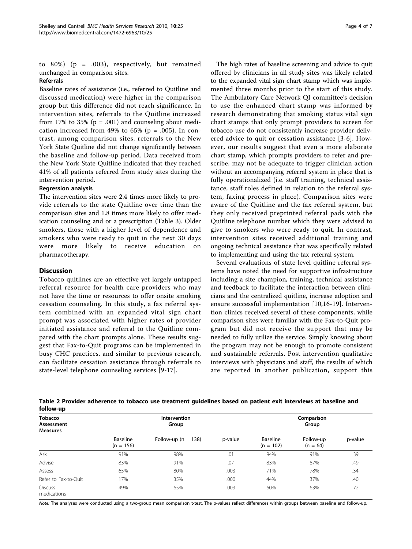<span id="page-3-0"></span>to 80%) (p = .003), respectively, but remained unchanged in comparison sites.

## Referrals

Baseline rates of assistance (i.e., referred to Quitline and discussed medication) were higher in the comparison group but this difference did not reach significance. In intervention sites, referrals to the Quitline increased from 17% to 35% ( $p = .001$ ) and counseling about medication increased from 49% to 65% ( $p = .005$ ). In contrast, among comparison sites, referrals to the New York State Quitline did not change significantly between the baseline and follow-up period. Data received from the New York State Quitline indicated that they reached 41% of all patients referred from study sites during the intervention period.

#### Regression analysis

The intervention sites were 2.4 times more likely to provide referrals to the state Quitline over time than the comparison sites and 1.8 times more likely to offer medication counseling and or a prescription (Table [3\)](#page-4-0). Older smokers, those with a higher level of dependence and smokers who were ready to quit in the next 30 days were more likely to receive education on pharmacotherapy.

#### **Discussion**

Tobacco quitlines are an effective yet largely untapped referral resource for health care providers who may not have the time or resources to offer onsite smoking cessation counseling. In this study, a fax referral system combined with an expanded vital sign chart prompt was associated with higher rates of provider initiated assistance and referral to the Quitline compared with the chart prompts alone. These results suggest that Fax-to-Quit programs can be implemented in busy CHC practices, and similar to previous research, can facilitate cessation assistance through referrals to state-level telephone counseling services [\[9-17](#page-5-0)].

The high rates of baseline screening and advice to quit offered by clinicians in all study sites was likely related to the expanded vital sign chart stamp which was implemented three months prior to the start of this study. The Ambulatory Care Network QI committee's decision to use the enhanced chart stamp was informed by research demonstrating that smoking status vital sign chart stamps that only prompt providers to screen for tobacco use do not consistently increase provider delivered advice to quit or cessation assistance [[3](#page-5-0)-[6\]](#page-5-0). However, our results suggest that even a more elaborate chart stamp, which prompts providers to refer and prescribe, may not be adequate to trigger clinician action without an accompanying referral system in place that is fully operationalized (i.e. staff training, technical assistance, staff roles defined in relation to the referral system, faxing process in place). Comparison sites were aware of the Quitline and the fax referral system, but they only received preprinted referral pads with the Quitline telephone number which they were advised to give to smokers who were ready to quit. In contrast, intervention sites received additional training and ongoing technical assistance that was specifically related to implementing and using the fax referral system.

Several evaluations of state level quitline referral systems have noted the need for supportive infrastructure including a site champion, training, technical assistance and feedback to facilitate the interaction between clinicians and the centralized quitline, increase adoption and ensure successful implementation [[10,16-19\]](#page-5-0). Intervention clinics received several of these components, while comparison sites were familiar with the Fax-to-Quit program but did not receive the support that may be needed to fully utilize the service. Simply knowing about the program may not be enough to promote consistent and sustainable referrals. Post intervention qualitative interviews with physicians and staff, the results of which are reported in another publication, support this

| Table 2 Provider adherence to tobacco use treatment guidelines based on patient exit interviews at baseline and |  |  |  |  |
|-----------------------------------------------------------------------------------------------------------------|--|--|--|--|
| follow-up                                                                                                       |  |  |  |  |

| Tobacco<br>Assessment<br><b>Measures</b> | Intervention<br>Group          |                         |         | Comparison<br>Group     |                         |         |
|------------------------------------------|--------------------------------|-------------------------|---------|-------------------------|-------------------------|---------|
|                                          | <b>Baseline</b><br>$(n = 156)$ | Follow-up ( $n = 138$ ) | p-value | Baseline<br>$(n = 102)$ | Follow-up<br>$(n = 64)$ | p-value |
| Ask                                      | 91%                            | 98%                     | .01     | 94%                     | 91%                     | .39     |
| Advise                                   | 83%                            | 91%                     | .07     | 83%                     | 87%                     | .49     |
| Assess                                   | 65%                            | 80%                     | .003    | 71%                     | 78%                     | .34     |
| Refer to Fax-to-Quit                     | 17%                            | 35%                     | .000    | 44%                     | 37%                     | .40     |
| <b>Discuss</b><br>medications            | 49%                            | 65%                     | .003    | 60%                     | 63%                     | .72     |

Note: The analyses were conducted using a two-group mean comparison t-test. The p-values reflect differences within groups between baseline and follow-up.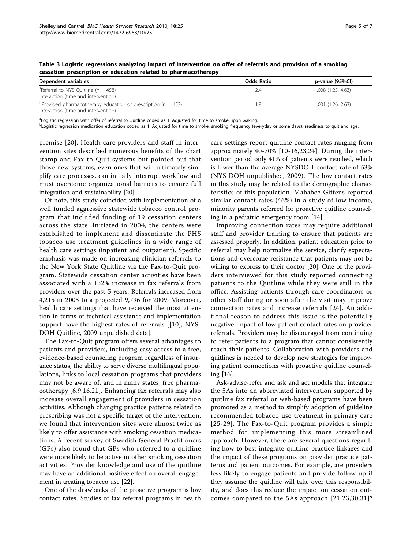| Dependent variables                                                                                              | <b>Odds Ratio</b> | p-value (95%Cl)  |
|------------------------------------------------------------------------------------------------------------------|-------------------|------------------|
| <sup>a</sup> Referral to NYS Quitline (n = 458)<br>Interaction (time and intervention)                           |                   | .008(1.25, 4.63) |
| <sup>b</sup> Provided pharmacotherapy education or prescription (n = 453)<br>Interaction (time and intervention) |                   | .001(1.26.2.63)  |

<span id="page-4-0"></span>Table 3 Logistic regressions analyzing impact of intervention on offer of referrals and provision of a smoking cessation prescription or education related to pharmacotherapy

<sup>a</sup>Logistic regression with offer of referral to Quitline coded as 1. Adjusted for time to smoke upon waking.

bLogistic regression medication education coded as 1. Adjusted for time to smoke, smoking frequency (everyday or some days), readiness to quit and age.

premise [\[20\]](#page-5-0). Health care providers and staff in intervention sites described numerous benefits of the chart stamp and Fax-to-Quit systems but pointed out that those new systems, even ones that will ultimately simplify care processes, can initially interrupt workflow and must overcome organizational barriers to ensure full integration and sustainability [[20\]](#page-5-0).

Of note, this study coincided with implementation of a well funded aggressive statewide tobacco control program that included funding of 19 cessation centers across the state. Initiated in 2004, the centers were established to implement and disseminate the PHS tobacco use treatment guidelines in a wide range of health care settings (inpatient and outpatient). Specific emphasis was made on increasing clinician referrals to the New York State Quitline via the Fax-to-Quit program. Statewide cessation center activities have been associated with a 132% increase in fax referrals from providers over the past 5 years. Referrals increased from 4,215 in 2005 to a projected 9,796 for 2009. Moreover, health care settings that have received the most attention in terms of technical assistance and implementation support have the highest rates of referrals [[\[10\]](#page-5-0), NYS-DOH Quitline, 2009 unpublished data].

The Fax-to-Quit program offers several advantages to patients and providers, including easy access to a free, evidence-based counseling program regardless of insurance status, the ability to serve diverse multilingual populations, links to local cessation programs that providers may not be aware of, and in many states, free pharmacotherapy [[6,9,16](#page-5-0),[21\]](#page-6-0). Enhancing fax referrals may also increase overall engagement of providers in cessation activities. Although changing practice patterns related to prescribing was not a specific target of the intervention, we found that intervention sites were almost twice as likely to offer assistance with smoking cessation medications. A recent survey of Swedish General Practitioners (GPs) also found that GPs who referred to a quitline were more likely to be active in other smoking cessation activities. Provider knowledge and use of the quitline may have an additional positive effect on overall engagement in treating tobacco use [[22\]](#page-6-0).

One of the drawbacks of the proactive program is low contact rates. Studies of fax referral programs in health

care settings report quitline contact rates ranging from approximately 40-70% [\[10-16,](#page-5-0)[23,24\]](#page-6-0). During the intervention period only 41% of patients were reached, which is lower than the average NYSDOH contact rate of 53% (NYS DOH unpublished, 2009). The low contact rates in this study may be related to the demographic characteristics of this population. Mahabee-Gittens reported similar contact rates (46%) in a study of low income, minority parents referred for proactive quitline counseling in a pediatric emergency room [\[14](#page-5-0)].

Improving connection rates may require additional staff and provider training to ensure that patients are assessed properly. In addition, patient education prior to referral may help normalize the service, clarify expectations and overcome resistance that patients may not be willing to express to their doctor [\[20](#page-5-0)]. One of the providers interviewed for this study reported connecting patients to the Quitline while they were still in the office. Assisting patients through care coordinators or other staff during or soon after the visit may improve connection rates and increase referrals [[24\]](#page-6-0). An additional reason to address this issue is the potentially negative impact of low patient contact rates on provider referrals. Providers may be discouraged from continuing to refer patients to a program that cannot consistently reach their patients. Collaboration with providers and quitlines is needed to develop new strategies for improving patient connections with proactive quitline counseling [[16\]](#page-5-0).

Ask-advise-refer and ask and act models that integrate the 5As into an abbreviated intervention supported by quitline fax referral or web-based programs have been promoted as a method to simplify adoption of guideline recommended tobacco use treatment in primary care [[25-29](#page-6-0)]. The Fax-to-Quit program provides a simple method for implementing this more streamlined approach. However, there are several questions regarding how to best integrate quitline-practice linkages and the impact of these programs on provider practice patterns and patient outcomes. For example, are providers less likely to engage patients and provide follow-up if they assume the quitline will take over this responsibility, and does this reduce the impact on cessation outcomes compared to the 5As approach [[21](#page-6-0),[23](#page-6-0),[30](#page-6-0),[31](#page-6-0)]?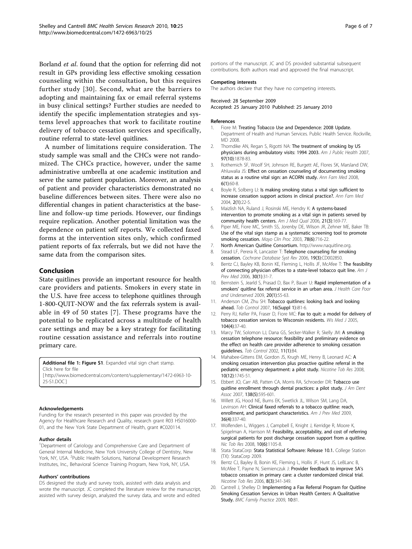<span id="page-5-0"></span>Borland et al. found that the option for referring did not result in GPs providing less effective smoking cessation counseling within the consultation, but this requires further study [[30](#page-6-0)]. Second, what are the barriers to adopting and maintaining fax or email referral systems in busy clinical settings? Further studies are needed to identify the specific implementation strategies and systems level approaches that work to facilitate routine delivery of tobacco cessation services and specifically, routine referral to state-level quitlines.

A number of limitations require consideration. The study sample was small and the CHCs were not randomized. The CHCs practice, however, under the same administrative umbrella at one academic institution and serve the same patient population. Moreover, an analysis of patient and provider characteristics demonstrated no baseline differences between sites. There were also no differential changes in patient characteristics at the baseline and follow-up time periods. However, our findings require replication. Another potential limitation was the dependence on patient self reports. We collected faxed forms at the intervention sites only, which confirmed patient reports of fax referrals, but we did not have the same data from the comparison sites.

## Conclusion

State quitlines provide an important resource for health care providers and patients. Smokers in every state in the U.S. have free access to telephone quitlines through 1-800-QUIT-NOW and the fax referrals system is available in 49 of 50 states [7]. These programs have the potential to be replicated across a multitude of health care settings and may be a key strategy for facilitating routine cessation assistance and referrals into routine primary care.

Additional file 1: Figure S1. Expanded vital sign chart stamp. Click here for file [ http://www.biomedcentral.com/content/supplementary/1472-6963-10- 25-S1.DOC ]

#### Acknowledgements

Funding for the research presented in this paper was provided by the Agency for Healthcare Research and Quality, research grant R03 HS016000- 01, and the New York State Department of Health, grant #C020114.

#### Author details

<sup>1</sup>Department of Cariology and Comprehensive Care and Department of General Internal Medicine, New York University College of Dentistry, New York, NY, USA. <sup>2</sup>Public Health Solutions, National Development Research Institutes, Inc., Behavioral Science Training Program, New York, NY, USA.

#### Authors' contributions

DS designed the study and survey tools, assisted with data analysis and wrote the manuscript. JC completed the literature review for the manuscript, assisted with survey design, analyzed the survey data, and wrote and edited

portions of the manuscript. JC and DS provided substantial subsequent contributions. Both authors read and approved the final manuscript.

#### Competing interests

The authors declare that they have no competing interests.

#### Received: 28 September 2009

Accepted: 25 January 2010 Published: 25 January 2010

#### References

- Fiore M: Treating Tobacco Use and Dependence: 2008 Update. Department of Health and Human Services. Public Health Service. Rockville, MD 2008.
- 2. Thorndike AN, Regan S, Rigotti NA: [The treatment of smoking by US](http://www.ncbi.nlm.nih.gov/pubmed/17761570?dopt=Abstract) [physicians during ambulatory visits: 1994 2003.](http://www.ncbi.nlm.nih.gov/pubmed/17761570?dopt=Abstract) Am J Public Health 2007, 97(10):1878-83.
- 3. Rothemich SF, Woolf SH, Johnson RE, Burgett AE, Flores SK, Marsland DW, Ahluwalia JS: [Effect on cessation counseling of documenting smoking](http://www.ncbi.nlm.nih.gov/pubmed/18195316?dopt=Abstract) [status as a routine vital sign: an ACORN study.](http://www.ncbi.nlm.nih.gov/pubmed/18195316?dopt=Abstract) Ann Fam Med 2008, 6(1):60-8.
- 4. Boyle R, Solberg LI: [Is making smoking status a vital sign sufficient to](http://www.ncbi.nlm.nih.gov/pubmed/15053279?dopt=Abstract) [increase cessation support actions in clinical practice?.](http://www.ncbi.nlm.nih.gov/pubmed/15053279?dopt=Abstract) Ann Fam Med 2004, 2(1):22-5.
- 5. Maizlish NA, Ruland J, Rosinski ME, Hendry K: [A systems-based](http://www.ncbi.nlm.nih.gov/pubmed/16679436?dopt=Abstract) [intervention to promote smoking as a vital sign in patients served by](http://www.ncbi.nlm.nih.gov/pubmed/16679436?dopt=Abstract) [community health centers.](http://www.ncbi.nlm.nih.gov/pubmed/16679436?dopt=Abstract) Am J Med Qual 2006, 21(3):169-77.
- 6. Piper ME, Fiore MC, Smith SS, Jorenby DE, Wilson JR, Zehner ME, Baker TB: [Use of the vital sign stamp as a systematic screening tool to promote](http://www.ncbi.nlm.nih.gov/pubmed/12934781?dopt=Abstract) [smoking cessation.](http://www.ncbi.nlm.nih.gov/pubmed/12934781?dopt=Abstract) Mayo Clin Proc 2003, 78(6):716-22.
- 7. North American Quitline Consortium. [http://www.naquitline.org.](http://www.naquitline.org)
- 8. Stead LF, Perera R, Lancaster T: Telephone counseling for smoking cessation. Cochrane Database Syst Rev 2006, 19(3):CD002850.
- 9. Bentz CJ, Bayley KB, Bonin KE, Fleming L, Hollis JF, McAfee T: [The feasibility](http://www.ncbi.nlm.nih.gov/pubmed/16414421?dopt=Abstract) [of connecting physician offices to a state-level tobacco quit line.](http://www.ncbi.nlm.nih.gov/pubmed/16414421?dopt=Abstract) Am J Prev Med 2006, 30(1):31-7.
- 10. Bernstein S, Jearld S, Prasad D, Bax P, Bauer U: Rapid implementation of a smokers' quitline fax referral service in an urban area. J Health Care Poor and Underserved 2009, 20(1):55-63.
- 11. Anderson CM, Zhu SH: [Tobacco quitlines: looking back and looking](http://www.ncbi.nlm.nih.gov/pubmed/18048638?dopt=Abstract) [ahead.](http://www.ncbi.nlm.nih.gov/pubmed/18048638?dopt=Abstract) Tob Control 2007, 16(Suppl 1):i81-6.
- 12. Perry RJ, Keller PA, Fraser D, Fiore MC: Fax to quit: a model for delivery of tobacco cessation services to Wisconsin residents. Wis Med J 2005, 104(4):37-40.
- 13. Marcy TW, Solomon LJ, Dana GS, Secker-Walker R, Skelly JM: [A smoking](http://www.ncbi.nlm.nih.gov/pubmed/11891379?dopt=Abstract) [cessation telephone resource: feasibility and preliminary evidence on](http://www.ncbi.nlm.nih.gov/pubmed/11891379?dopt=Abstract) [the effect on health care provider adherence to smoking cessation](http://www.ncbi.nlm.nih.gov/pubmed/11891379?dopt=Abstract) [guidelines.](http://www.ncbi.nlm.nih.gov/pubmed/11891379?dopt=Abstract) Tob Control 2002, 11(1):84.
- 14. Mahabee-Gittens EM, Gordon JS, Krugh ME, Henry B, Leonard AC: [A](http://www.ncbi.nlm.nih.gov/pubmed/19023825?dopt=Abstract) [smoking cessation intervention plus proactive quitline referral in the](http://www.ncbi.nlm.nih.gov/pubmed/19023825?dopt=Abstract) [pediatric emergency department: a pilot study.](http://www.ncbi.nlm.nih.gov/pubmed/19023825?dopt=Abstract) Nicotine Tob Res 2008, 10(12):1745-51.
- 15. Ebbert JO, Carr AB, Patten CA, Morris RA, Schroeder DR: [Tobacco use](http://www.ncbi.nlm.nih.gov/pubmed/17473036?dopt=Abstract) [quitline enrollment through dental practices: a pilot study.](http://www.ncbi.nlm.nih.gov/pubmed/17473036?dopt=Abstract) J Am Dent Assoc 2007, 138(5):595-601.
- 16. Willett JG, Hood NE, Burns EK, Swetlick JL, Wilson SM, Lang DA, Levinson AH: [Clinical faxed referrals to a tobacco quitline: reach,](http://www.ncbi.nlm.nih.gov/pubmed/19201150?dopt=Abstract) [enrollment, and participant characteristics.](http://www.ncbi.nlm.nih.gov/pubmed/19201150?dopt=Abstract) Am J Prev Med 2009, 36(4):337-40.
- 17. Wolfenden L, Wiggers J, Campbell E, Knight J, Kerridge R, Moore K, Spigelman A, Harrison M: Feasibility, acceptability, and cost of referring surgical patients for post discharge cessation support from a quitline. Nic Tob Res 2008, 10(6):1105-8.
- 18. Stata StataCorp: Stata Statistical Software: Release 10.1. College Station (TX): StataCorp 2009.
- 19. Bentz CJ, Bayley B, Bonin KE, Fleming L, Hollis JF, Hunt JS, LeBLanc B, McAfee T, Payne N, Siemienczuk J: Provider feedback to improve 5A's tobacco cessation in primary care: a cluster randomized clinical trial. Nicotine Tob Res 2006, 8(3):341-349.
- 20. Cantrell J, Shelley D: [Implementing a Fax Referral Program for Quitline](http://www.ncbi.nlm.nih.gov/pubmed/20017930?dopt=Abstract) [Smoking Cessation Services in Urban Health Centers: A Qualitative](http://www.ncbi.nlm.nih.gov/pubmed/20017930?dopt=Abstract) [Study.](http://www.ncbi.nlm.nih.gov/pubmed/20017930?dopt=Abstract) BMC Family Practice 2009, 10:81.